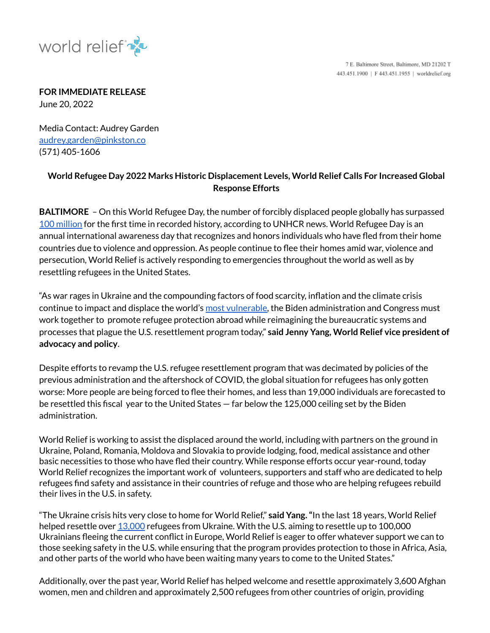

7 E. Baltimore Street, Baltimore, MD 21202 T 443.451.1900 | F 443.451.1955 | worldrelief.org

**FOR IMMEDIATE RELEASE**

June 20, 2022

Media Contact: Audrey Garden audrey.garden@pinkston.co (571) 405-1606

## **World Refugee Day 2022 Marks Historic Displacement Levels, World Relief Calls For Increased Global Response Efforts**

**BALTIMORE** – On this World Refugee Day, the number of forcibly displaced people globally has surpassed 100 [million](https://news.un.org/en/story/2022/05/1118772) for the first time in recorded history, according to UNHCR news. World Refugee Day is an annual international awareness day that recognizes and honors individuals who have fled from their home countries due to violence and oppression. As people continue to flee their homes amid war, violence and persecution, World Relief is actively responding to emergencies throughout the world as well as by resettling refugees in the United States.

"As war rages in Ukraine and the compounding factors of food scarcity, inflation and the climate crisis continue to impact and displace the world's most [vulnerable,](https://worldrelief.org/covid-report/) the Biden administration and Congress must work together to promote refugee protection abroad while reimagining the bureaucratic systems and processes that plague the U.S. resettlement program today," **said Jenny Yang, World Relief vice president of advocacy and policy**.

Despite efforts to revamp the U.S. refugee resettlement program that was decimated by policies of the previous administration and the aftershock of COVID, the global situation for refugees has only gotten worse: More people are being forced to flee their homes, and less than 19,000 individuals are forecasted to be resettled this fiscal year to the United States — far below the 125,000 ceiling set by the Biden administration.

World Relief is working to assist the displaced around the world, including with partners on the ground in Ukraine, Poland, Romania, Moldova and Slovakia to provide lodging, food, medical assistance and other basic necessities to those who have fled their country. While response efforts occur year-round, today World Relief recognizes the important work of volunteers, supporters and staff who are dedicated to help refugees find safety and assistance in their countries of refuge and those who are helping refugees rebuild their lives in the U.S. in safety.

"The Ukraine crisis hits very close to home for World Relief," **said Yang."**In the last 18 years, World Relief helped resettle over [13,000](https://worldrelief.org/respond/#afghan) refugees from Ukraine. With the U.S. aiming to resettle up to 100,000 Ukrainians fleeing the current conflict in Europe, World Relief is eager to offer whatever support we can to those seeking safety in the U.S. while ensuring that the program provides protection to those in Africa, Asia, and other parts of the world who have been waiting many years to come to the United States."

Additionally, over the past year, World Relief has helped welcome and resettle approximately 3,600 Afghan women, men and children and approximately 2,500 refugees from other countries of origin, providing